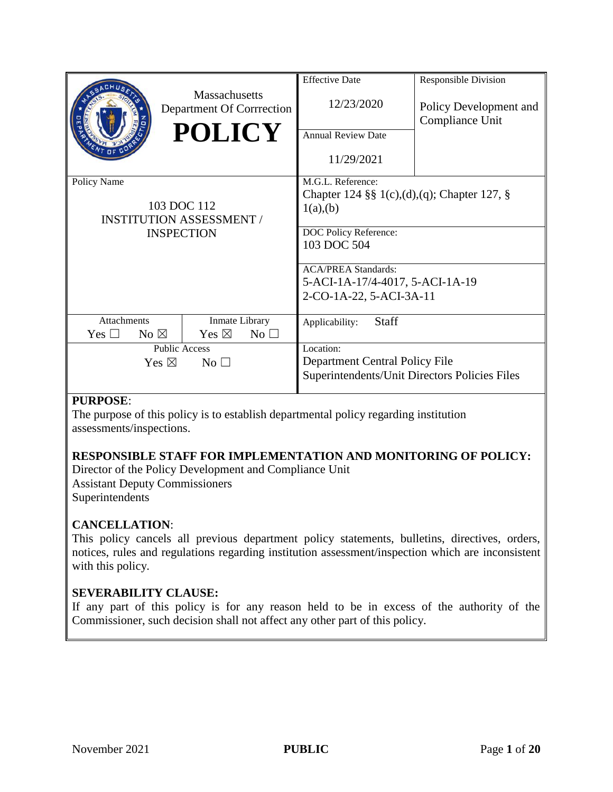|                                                                                    | Massachusetts<br>Department Of Corrrection<br><b>POLICY</b> | <b>Effective Date</b><br>12/23/2020<br><b>Annual Review Date</b><br>11/29/2021                                       | <b>Responsible Division</b><br>Policy Development and<br>Compliance Unit |
|------------------------------------------------------------------------------------|-------------------------------------------------------------|----------------------------------------------------------------------------------------------------------------------|--------------------------------------------------------------------------|
| Policy Name<br>103 DOC 112<br><b>INSTITUTION ASSESSMENT /</b><br><b>INSPECTION</b> |                                                             | M.G.L. Reference:<br>Chapter 124 §§ 1(c),(d),(q); Chapter 127, §<br>1(a),(b)<br>DOC Policy Reference:<br>103 DOC 504 |                                                                          |
|                                                                                    |                                                             | <b>ACA/PREA Standards:</b><br>5-ACI-1A-17/4-4017, 5-ACI-1A-19<br>2-CO-1A-22, 5-ACI-3A-11                             |                                                                          |
| <b>Attachments</b>                                                                 | Inmate Library                                              | <b>Staff</b><br>Applicability:                                                                                       |                                                                          |
| Yes $\square$<br>No $\boxtimes$                                                    | Yes $\boxtimes$<br>$No$ $\square$                           |                                                                                                                      |                                                                          |
| <b>Public Access</b>                                                               |                                                             | Location:                                                                                                            |                                                                          |
| Yes $\boxtimes$<br>No <sub>1</sub>                                                 |                                                             | Department Central Policy File<br>Superintendents/Unit Directors Policies Files                                      |                                                                          |

#### **PURPOSE**:

The purpose of this policy is to establish departmental policy regarding institution assessments/inspections.

## **RESPONSIBLE STAFF FOR IMPLEMENTATION AND MONITORING OF POLICY:**

Director of the Policy Development and Compliance Unit Assistant Deputy Commissioners **Superintendents** 

## **CANCELLATION**:

This policy cancels all previous department policy statements, bulletins, directives, orders, notices, rules and regulations regarding institution assessment/inspection which are inconsistent with this policy.

## **SEVERABILITY CLAUSE:**

If any part of this policy is for any reason held to be in excess of the authority of the Commissioner, such decision shall not affect any other part of this policy.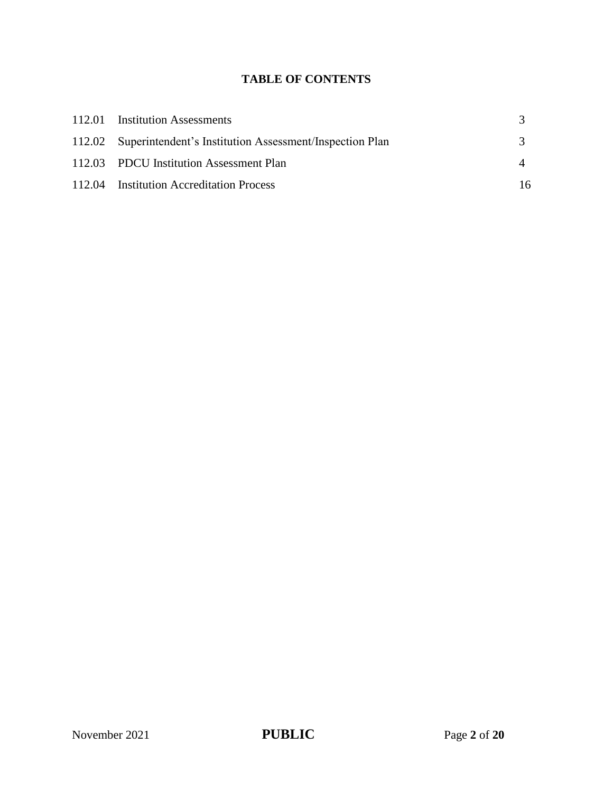# **TABLE OF CONTENTS**

| 112.01 Institution Assessments                                 |    |
|----------------------------------------------------------------|----|
| 112.02 Superintendent's Institution Assessment/Inspection Plan |    |
| 112.03 PDCU Institution Assessment Plan                        |    |
| 112.04 Institution Accreditation Process                       | 16 |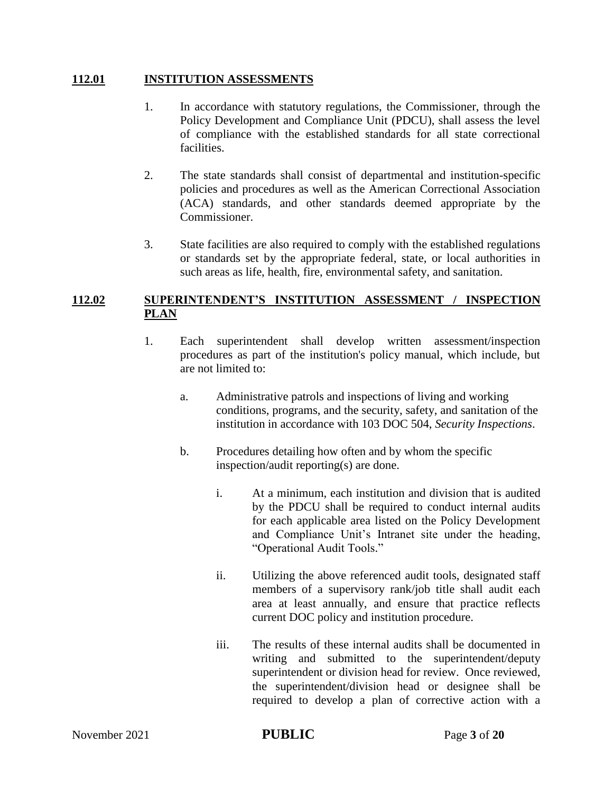### **112.01 INSTITUTION ASSESSMENTS**

- 1. In accordance with statutory regulations, the Commissioner, through the Policy Development and Compliance Unit (PDCU), shall assess the level of compliance with the established standards for all state correctional facilities.
- 2. The state standards shall consist of departmental and institution-specific policies and procedures as well as the American Correctional Association (ACA) standards, and other standards deemed appropriate by the Commissioner.
- 3. State facilities are also required to comply with the established regulations or standards set by the appropriate federal, state, or local authorities in such areas as life, health, fire, environmental safety, and sanitation.

#### **112.02 SUPERINTENDENT'S INSTITUTION ASSESSMENT / INSPECTION PLAN**

- 1. Each superintendent shall develop written assessment/inspection procedures as part of the institution's policy manual, which include, but are not limited to:
	- a. Administrative patrols and inspections of living and working conditions, programs, and the security, safety, and sanitation of the institution in accordance with 103 DOC 504, *Security Inspections*.
	- b. Procedures detailing how often and by whom the specific inspection/audit reporting(s) are done.
		- i. At a minimum, each institution and division that is audited by the PDCU shall be required to conduct internal audits for each applicable area listed on the Policy Development and Compliance Unit's Intranet site under the heading, "Operational Audit Tools."
		- ii. Utilizing the above referenced audit tools, designated staff members of a supervisory rank/job title shall audit each area at least annually, and ensure that practice reflects current DOC policy and institution procedure.
		- iii. The results of these internal audits shall be documented in writing and submitted to the superintendent/deputy superintendent or division head for review. Once reviewed, the superintendent/division head or designee shall be required to develop a plan of corrective action with a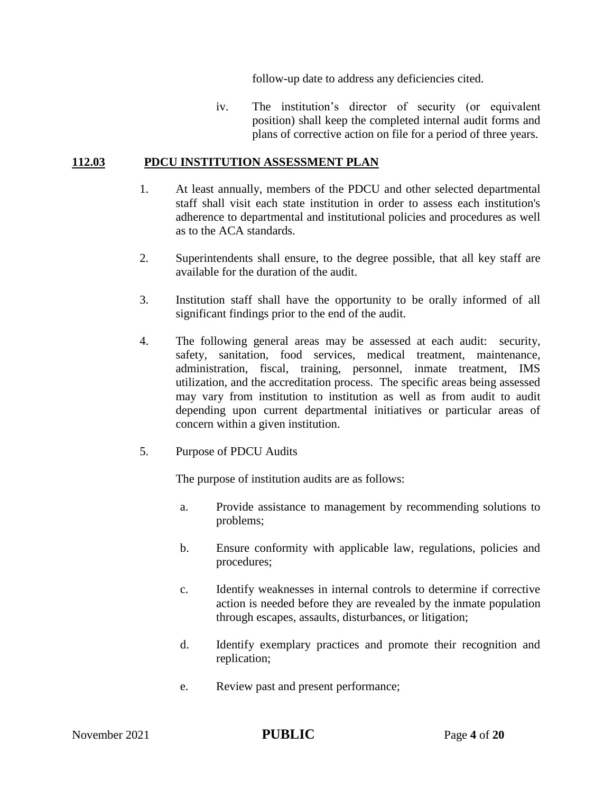follow-up date to address any deficiencies cited.

iv. The institution's director of security (or equivalent position) shall keep the completed internal audit forms and plans of corrective action on file for a period of three years.

### **112.03 PDCU INSTITUTION ASSESSMENT PLAN**

- 1. At least annually, members of the PDCU and other selected departmental staff shall visit each state institution in order to assess each institution's adherence to departmental and institutional policies and procedures as well as to the ACA standards.
- 2. Superintendents shall ensure, to the degree possible, that all key staff are available for the duration of the audit.
- 3. Institution staff shall have the opportunity to be orally informed of all significant findings prior to the end of the audit.
- 4. The following general areas may be assessed at each audit: security, safety, sanitation, food services, medical treatment, maintenance, administration, fiscal, training, personnel, inmate treatment, IMS utilization, and the accreditation process. The specific areas being assessed may vary from institution to institution as well as from audit to audit depending upon current departmental initiatives or particular areas of concern within a given institution.
- 5. Purpose of PDCU Audits

The purpose of institution audits are as follows:

- a. Provide assistance to management by recommending solutions to problems;
- b. Ensure conformity with applicable law, regulations, policies and procedures;
- c. Identify weaknesses in internal controls to determine if corrective action is needed before they are revealed by the inmate population through escapes, assaults, disturbances, or litigation;
- d. Identify exemplary practices and promote their recognition and replication;
- e. Review past and present performance;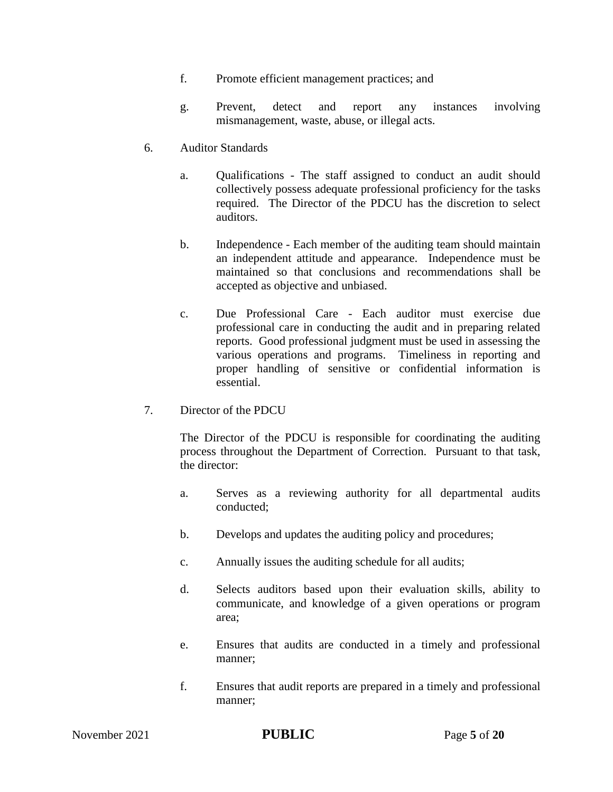- f. Promote efficient management practices; and
- g. Prevent, detect and report any instances involving mismanagement, waste, abuse, or illegal acts.
- 6. Auditor Standards
	- a. Qualifications The staff assigned to conduct an audit should collectively possess adequate professional proficiency for the tasks required. The Director of the PDCU has the discretion to select auditors.
	- b. Independence Each member of the auditing team should maintain an independent attitude and appearance. Independence must be maintained so that conclusions and recommendations shall be accepted as objective and unbiased.
	- c. Due Professional Care Each auditor must exercise due professional care in conducting the audit and in preparing related reports. Good professional judgment must be used in assessing the various operations and programs. Timeliness in reporting and proper handling of sensitive or confidential information is essential.
- 7. Director of the PDCU

The Director of the PDCU is responsible for coordinating the auditing process throughout the Department of Correction. Pursuant to that task, the director:

- a. Serves as a reviewing authority for all departmental audits conducted;
- b. Develops and updates the auditing policy and procedures;
- c. Annually issues the auditing schedule for all audits;
- d. Selects auditors based upon their evaluation skills, ability to communicate, and knowledge of a given operations or program area;
- e. Ensures that audits are conducted in a timely and professional manner;
- f. Ensures that audit reports are prepared in a timely and professional manner;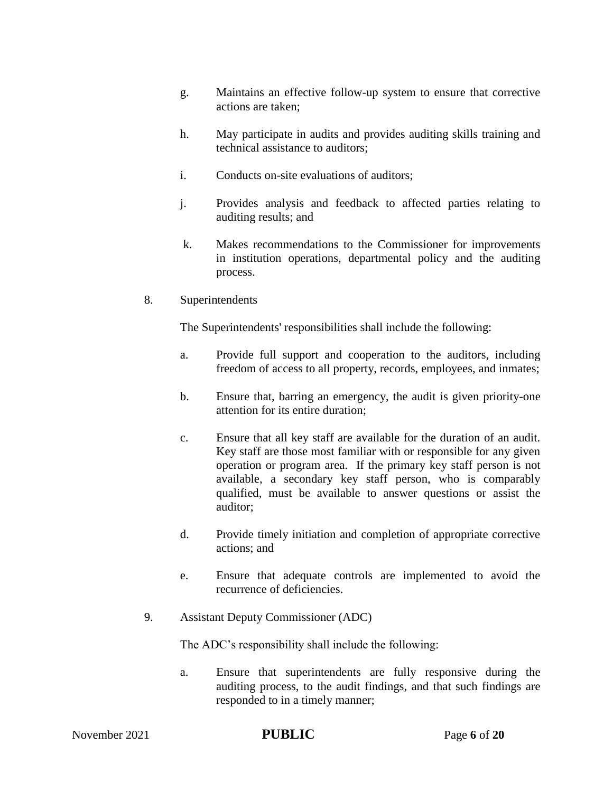- g. Maintains an effective follow-up system to ensure that corrective actions are taken;
- h. May participate in audits and provides auditing skills training and technical assistance to auditors;
- i. Conducts on-site evaluations of auditors;
- j. Provides analysis and feedback to affected parties relating to auditing results; and
- k. Makes recommendations to the Commissioner for improvements in institution operations, departmental policy and the auditing process.
- 8. Superintendents

The Superintendents' responsibilities shall include the following:

- a. Provide full support and cooperation to the auditors, including freedom of access to all property, records, employees, and inmates;
- b. Ensure that, barring an emergency, the audit is given priority-one attention for its entire duration;
- c. Ensure that all key staff are available for the duration of an audit. Key staff are those most familiar with or responsible for any given operation or program area. If the primary key staff person is not available, a secondary key staff person, who is comparably qualified, must be available to answer questions or assist the auditor;
- d. Provide timely initiation and completion of appropriate corrective actions; and
- e. Ensure that adequate controls are implemented to avoid the recurrence of deficiencies.
- 9. Assistant Deputy Commissioner (ADC)

The ADC's responsibility shall include the following:

a. Ensure that superintendents are fully responsive during the auditing process, to the audit findings, and that such findings are responded to in a timely manner;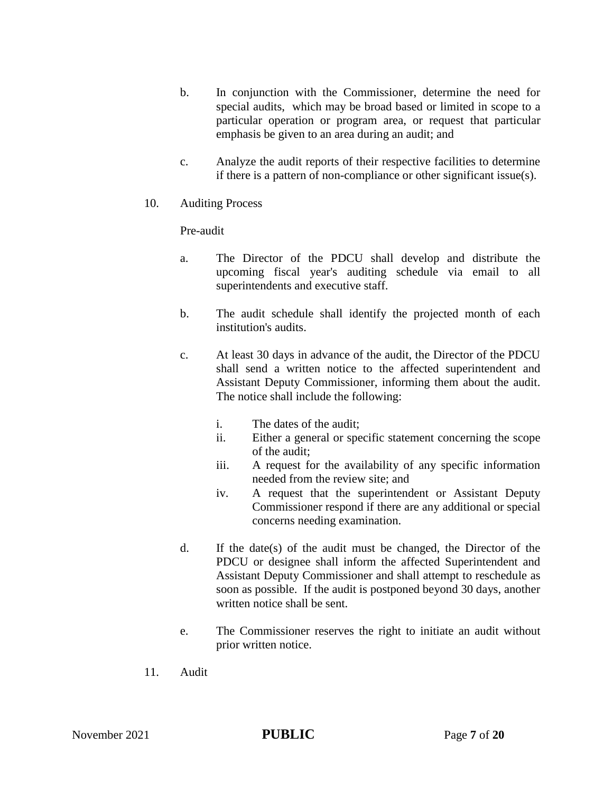- b. In conjunction with the Commissioner, determine the need for special audits, which may be broad based or limited in scope to a particular operation or program area, or request that particular emphasis be given to an area during an audit; and
- c. Analyze the audit reports of their respective facilities to determine if there is a pattern of non-compliance or other significant issue(s).
- 10. Auditing Process

Pre-audit

- a. The Director of the PDCU shall develop and distribute the upcoming fiscal year's auditing schedule via email to all superintendents and executive staff.
- b. The audit schedule shall identify the projected month of each institution's audits.
- c. At least 30 days in advance of the audit, the Director of the PDCU shall send a written notice to the affected superintendent and Assistant Deputy Commissioner, informing them about the audit. The notice shall include the following:
	- i. The dates of the audit;
	- ii. Either a general or specific statement concerning the scope of the audit;
	- iii. A request for the availability of any specific information needed from the review site; and
	- iv. A request that the superintendent or Assistant Deputy Commissioner respond if there are any additional or special concerns needing examination.
- d. If the date(s) of the audit must be changed, the Director of the PDCU or designee shall inform the affected Superintendent and Assistant Deputy Commissioner and shall attempt to reschedule as soon as possible. If the audit is postponed beyond 30 days, another written notice shall be sent.
- e. The Commissioner reserves the right to initiate an audit without prior written notice.
- 11. Audit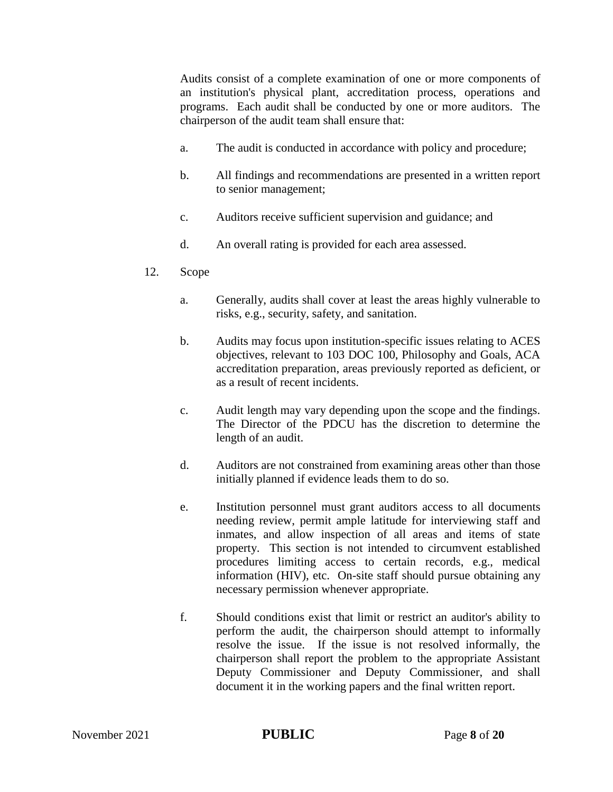Audits consist of a complete examination of one or more components of an institution's physical plant, accreditation process, operations and programs. Each audit shall be conducted by one or more auditors. The chairperson of the audit team shall ensure that:

- a. The audit is conducted in accordance with policy and procedure;
- b. All findings and recommendations are presented in a written report to senior management;
- c. Auditors receive sufficient supervision and guidance; and
- d. An overall rating is provided for each area assessed.
- 12. Scope
	- a. Generally, audits shall cover at least the areas highly vulnerable to risks, e.g., security, safety, and sanitation.
	- b. Audits may focus upon institution-specific issues relating to ACES objectives, relevant to 103 DOC 100, Philosophy and Goals, ACA accreditation preparation, areas previously reported as deficient, or as a result of recent incidents.
	- c. Audit length may vary depending upon the scope and the findings. The Director of the PDCU has the discretion to determine the length of an audit.
	- d. Auditors are not constrained from examining areas other than those initially planned if evidence leads them to do so.
	- e. Institution personnel must grant auditors access to all documents needing review, permit ample latitude for interviewing staff and inmates, and allow inspection of all areas and items of state property. This section is not intended to circumvent established procedures limiting access to certain records, e.g., medical information (HIV), etc. On-site staff should pursue obtaining any necessary permission whenever appropriate.
	- f. Should conditions exist that limit or restrict an auditor's ability to perform the audit, the chairperson should attempt to informally resolve the issue. If the issue is not resolved informally, the chairperson shall report the problem to the appropriate Assistant Deputy Commissioner and Deputy Commissioner, and shall document it in the working papers and the final written report.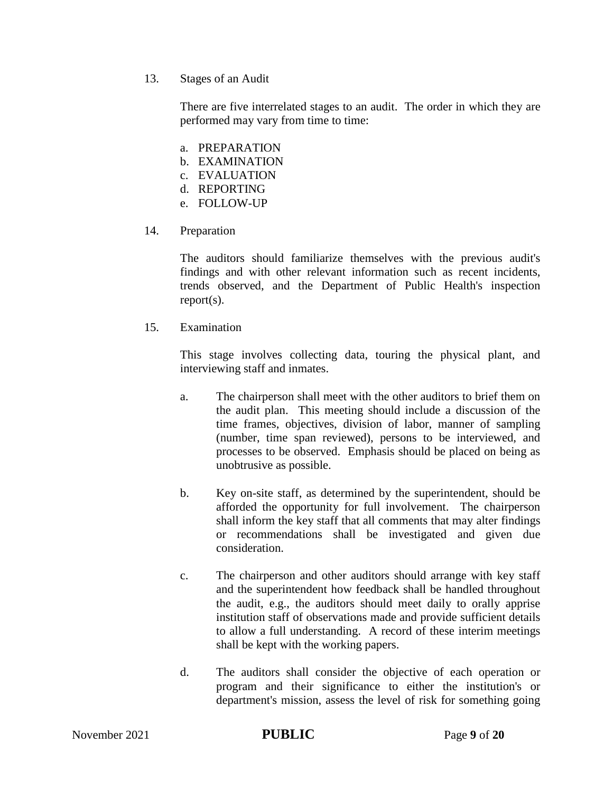13. Stages of an Audit

There are five interrelated stages to an audit. The order in which they are performed may vary from time to time:

- a. PREPARATION
- b. EXAMINATION
- c. EVALUATION
- d. REPORTING
- e. FOLLOW-UP
- 14. Preparation

The auditors should familiarize themselves with the previous audit's findings and with other relevant information such as recent incidents, trends observed, and the Department of Public Health's inspection report(s).

15. Examination

This stage involves collecting data, touring the physical plant, and interviewing staff and inmates.

- a. The chairperson shall meet with the other auditors to brief them on the audit plan. This meeting should include a discussion of the time frames, objectives, division of labor, manner of sampling (number, time span reviewed), persons to be interviewed, and processes to be observed. Emphasis should be placed on being as unobtrusive as possible.
- b. Key on-site staff, as determined by the superintendent, should be afforded the opportunity for full involvement. The chairperson shall inform the key staff that all comments that may alter findings or recommendations shall be investigated and given due consideration.
- c. The chairperson and other auditors should arrange with key staff and the superintendent how feedback shall be handled throughout the audit, e.g., the auditors should meet daily to orally apprise institution staff of observations made and provide sufficient details to allow a full understanding. A record of these interim meetings shall be kept with the working papers.
- d. The auditors shall consider the objective of each operation or program and their significance to either the institution's or department's mission, assess the level of risk for something going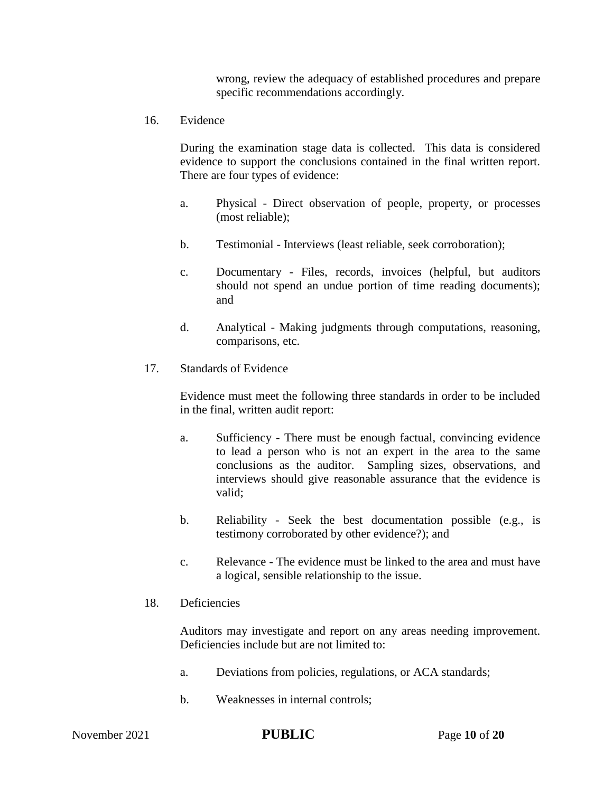wrong, review the adequacy of established procedures and prepare specific recommendations accordingly.

16. Evidence

During the examination stage data is collected. This data is considered evidence to support the conclusions contained in the final written report. There are four types of evidence:

- a. Physical Direct observation of people, property, or processes (most reliable);
- b. Testimonial Interviews (least reliable, seek corroboration);
- c. Documentary Files, records, invoices (helpful, but auditors should not spend an undue portion of time reading documents); and
- d. Analytical Making judgments through computations, reasoning, comparisons, etc.
- 17. Standards of Evidence

Evidence must meet the following three standards in order to be included in the final, written audit report:

- a. Sufficiency There must be enough factual, convincing evidence to lead a person who is not an expert in the area to the same conclusions as the auditor. Sampling sizes, observations, and interviews should give reasonable assurance that the evidence is valid;
- b. Reliability Seek the best documentation possible (e.g., is testimony corroborated by other evidence?); and
- c. Relevance The evidence must be linked to the area and must have a logical, sensible relationship to the issue.
- 18. Deficiencies

Auditors may investigate and report on any areas needing improvement. Deficiencies include but are not limited to:

- a. Deviations from policies, regulations, or ACA standards;
- b. Weaknesses in internal controls;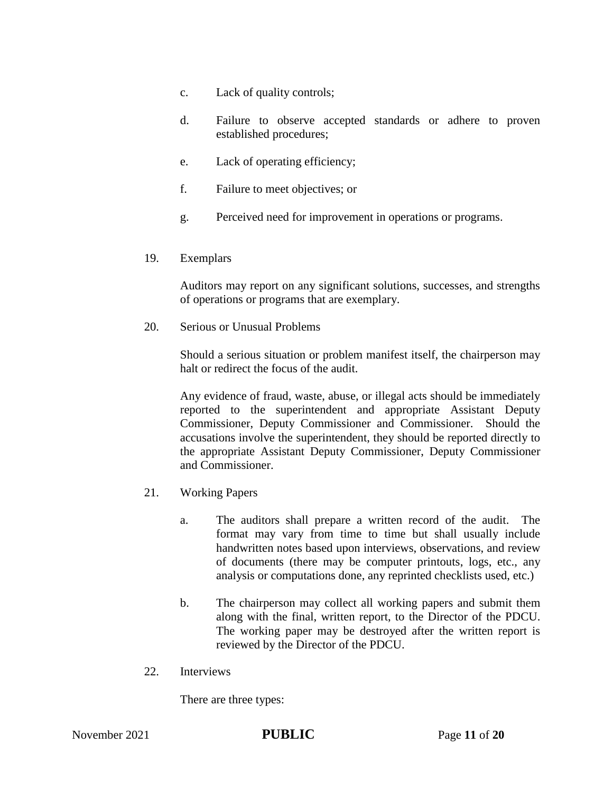- c. Lack of quality controls;
- d. Failure to observe accepted standards or adhere to proven established procedures;
- e. Lack of operating efficiency;
- f. Failure to meet objectives; or
- g. Perceived need for improvement in operations or programs.
- 19. Exemplars

Auditors may report on any significant solutions, successes, and strengths of operations or programs that are exemplary.

20. Serious or Unusual Problems

Should a serious situation or problem manifest itself, the chairperson may halt or redirect the focus of the audit.

Any evidence of fraud, waste, abuse, or illegal acts should be immediately reported to the superintendent and appropriate Assistant Deputy Commissioner, Deputy Commissioner and Commissioner. Should the accusations involve the superintendent, they should be reported directly to the appropriate Assistant Deputy Commissioner, Deputy Commissioner and Commissioner.

- 21. Working Papers
	- a. The auditors shall prepare a written record of the audit. The format may vary from time to time but shall usually include handwritten notes based upon interviews, observations, and review of documents (there may be computer printouts, logs, etc., any analysis or computations done, any reprinted checklists used, etc.)
	- b. The chairperson may collect all working papers and submit them along with the final, written report, to the Director of the PDCU. The working paper may be destroyed after the written report is reviewed by the Director of the PDCU.
- 22. Interviews

There are three types: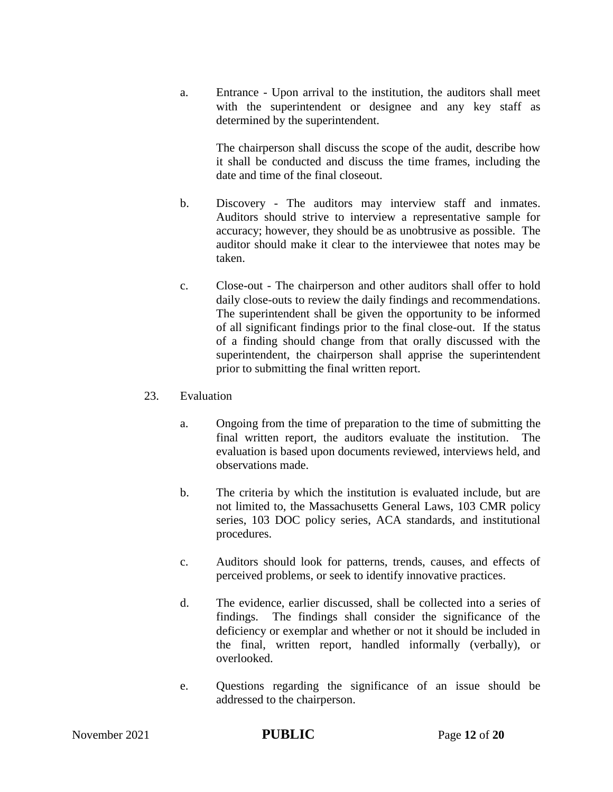a. Entrance - Upon arrival to the institution, the auditors shall meet with the superintendent or designee and any key staff as determined by the superintendent.

The chairperson shall discuss the scope of the audit, describe how it shall be conducted and discuss the time frames, including the date and time of the final closeout.

- b. Discovery The auditors may interview staff and inmates. Auditors should strive to interview a representative sample for accuracy; however, they should be as unobtrusive as possible. The auditor should make it clear to the interviewee that notes may be taken.
- c. Close-out The chairperson and other auditors shall offer to hold daily close-outs to review the daily findings and recommendations. The superintendent shall be given the opportunity to be informed of all significant findings prior to the final close-out. If the status of a finding should change from that orally discussed with the superintendent, the chairperson shall apprise the superintendent prior to submitting the final written report.

## 23. Evaluation

- a. Ongoing from the time of preparation to the time of submitting the final written report, the auditors evaluate the institution. The evaluation is based upon documents reviewed, interviews held, and observations made.
- b. The criteria by which the institution is evaluated include, but are not limited to, the Massachusetts General Laws, 103 CMR policy series, 103 DOC policy series, ACA standards, and institutional procedures.
- c. Auditors should look for patterns, trends, causes, and effects of perceived problems, or seek to identify innovative practices.
- d. The evidence, earlier discussed, shall be collected into a series of findings. The findings shall consider the significance of the deficiency or exemplar and whether or not it should be included in the final, written report, handled informally (verbally), or overlooked.
- e. Questions regarding the significance of an issue should be addressed to the chairperson.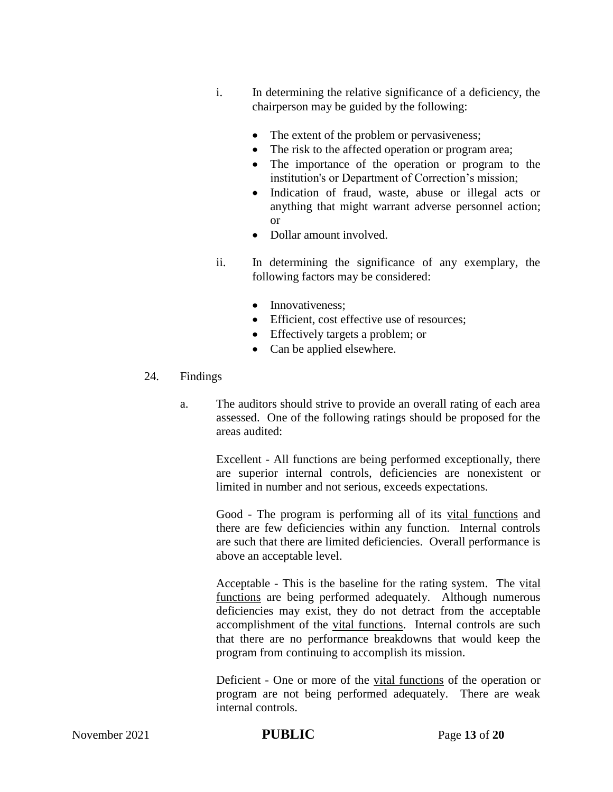- i. In determining the relative significance of a deficiency, the chairperson may be guided by the following:
	- The extent of the problem or pervasiveness;
	- The risk to the affected operation or program area;
	- The importance of the operation or program to the institution's or Department of Correction's mission;
	- Indication of fraud, waste, abuse or illegal acts or anything that might warrant adverse personnel action; or
	- Dollar amount involved.
- ii. In determining the significance of any exemplary, the following factors may be considered:
	- Innovativeness:
	- Efficient, cost effective use of resources;
	- Effectively targets a problem; or
	- Can be applied elsewhere.

## 24. Findings

a. The auditors should strive to provide an overall rating of each area assessed. One of the following ratings should be proposed for the areas audited:

> Excellent - All functions are being performed exceptionally, there are superior internal controls, deficiencies are nonexistent or limited in number and not serious, exceeds expectations.

> Good - The program is performing all of its vital functions and there are few deficiencies within any function. Internal controls are such that there are limited deficiencies. Overall performance is above an acceptable level.

> Acceptable - This is the baseline for the rating system. The vital functions are being performed adequately. Although numerous deficiencies may exist, they do not detract from the acceptable accomplishment of the vital functions. Internal controls are such that there are no performance breakdowns that would keep the program from continuing to accomplish its mission.

> Deficient - One or more of the vital functions of the operation or program are not being performed adequately. There are weak internal controls.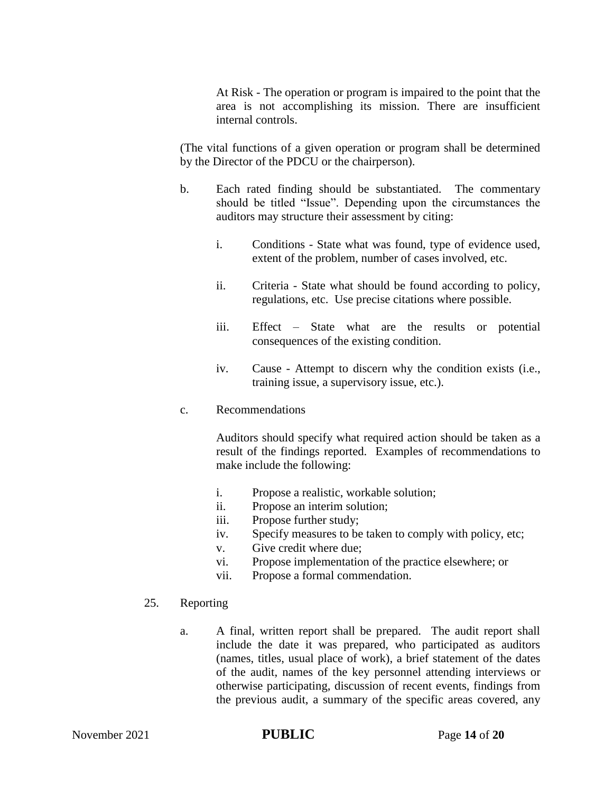At Risk - The operation or program is impaired to the point that the area is not accomplishing its mission. There are insufficient internal controls.

(The vital functions of a given operation or program shall be determined by the Director of the PDCU or the chairperson).

- b. Each rated finding should be substantiated. The commentary should be titled "Issue". Depending upon the circumstances the auditors may structure their assessment by citing:
	- i. Conditions State what was found, type of evidence used, extent of the problem, number of cases involved, etc.
	- ii. Criteria State what should be found according to policy, regulations, etc. Use precise citations where possible.
	- iii. Effect State what are the results or potential consequences of the existing condition.
	- iv. Cause Attempt to discern why the condition exists (i.e., training issue, a supervisory issue, etc.).
- c. Recommendations

Auditors should specify what required action should be taken as a result of the findings reported. Examples of recommendations to make include the following:

- i. Propose a realistic, workable solution;
- ii. Propose an interim solution;
- iii. Propose further study;
- iv. Specify measures to be taken to comply with policy, etc;
- v. Give credit where due;
- vi. Propose implementation of the practice elsewhere; or
- vii. Propose a formal commendation.
- 25. Reporting
	- a. A final, written report shall be prepared. The audit report shall include the date it was prepared, who participated as auditors (names, titles, usual place of work), a brief statement of the dates of the audit, names of the key personnel attending interviews or otherwise participating, discussion of recent events, findings from the previous audit, a summary of the specific areas covered, any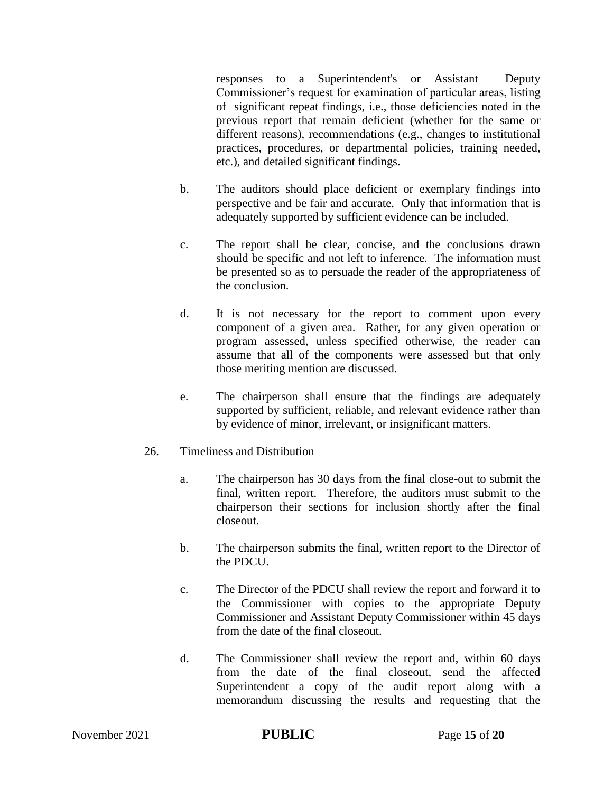responses to a Superintendent's or Assistant Deputy Commissioner's request for examination of particular areas, listing of significant repeat findings, i.e., those deficiencies noted in the previous report that remain deficient (whether for the same or different reasons), recommendations (e.g., changes to institutional practices, procedures, or departmental policies, training needed, etc.), and detailed significant findings.

- b. The auditors should place deficient or exemplary findings into perspective and be fair and accurate. Only that information that is adequately supported by sufficient evidence can be included.
- c. The report shall be clear, concise, and the conclusions drawn should be specific and not left to inference. The information must be presented so as to persuade the reader of the appropriateness of the conclusion.
- d. It is not necessary for the report to comment upon every component of a given area. Rather, for any given operation or program assessed, unless specified otherwise, the reader can assume that all of the components were assessed but that only those meriting mention are discussed.
- e. The chairperson shall ensure that the findings are adequately supported by sufficient, reliable, and relevant evidence rather than by evidence of minor, irrelevant, or insignificant matters.
- 26. Timeliness and Distribution
	- a. The chairperson has 30 days from the final close-out to submit the final, written report. Therefore, the auditors must submit to the chairperson their sections for inclusion shortly after the final closeout.
	- b. The chairperson submits the final, written report to the Director of the PDCU.
	- c. The Director of the PDCU shall review the report and forward it to the Commissioner with copies to the appropriate Deputy Commissioner and Assistant Deputy Commissioner within 45 days from the date of the final closeout.
	- d. The Commissioner shall review the report and, within 60 days from the date of the final closeout, send the affected Superintendent a copy of the audit report along with a memorandum discussing the results and requesting that the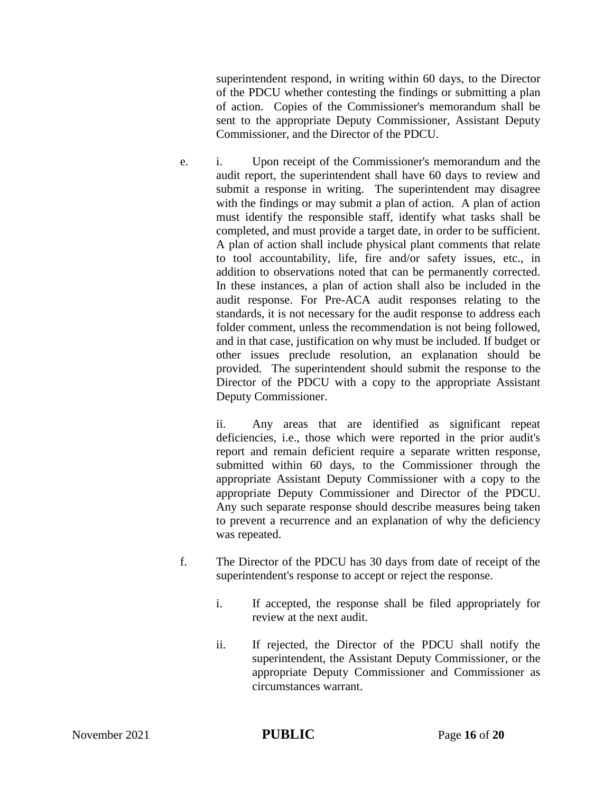superintendent respond, in writing within 60 days, to the Director of the PDCU whether contesting the findings or submitting a plan of action. Copies of the Commissioner's memorandum shall be sent to the appropriate Deputy Commissioner, Assistant Deputy Commissioner, and the Director of the PDCU.

e. i. Upon receipt of the Commissioner's memorandum and the audit report, the superintendent shall have 60 days to review and submit a response in writing. The superintendent may disagree with the findings or may submit a plan of action. A plan of action must identify the responsible staff, identify what tasks shall be completed, and must provide a target date, in order to be sufficient. A plan of action shall include physical plant comments that relate to tool accountability, life, fire and/or safety issues, etc., in addition to observations noted that can be permanently corrected. In these instances, a plan of action shall also be included in the audit response. For Pre-ACA audit responses relating to the standards, it is not necessary for the audit response to address each folder comment, unless the recommendation is not being followed, and in that case, justification on why must be included. If budget or other issues preclude resolution, an explanation should be provided. The superintendent should submit the response to the Director of the PDCU with a copy to the appropriate Assistant Deputy Commissioner.

ii. Any areas that are identified as significant repeat deficiencies, i.e., those which were reported in the prior audit's report and remain deficient require a separate written response, submitted within 60 days, to the Commissioner through the appropriate Assistant Deputy Commissioner with a copy to the appropriate Deputy Commissioner and Director of the PDCU. Any such separate response should describe measures being taken to prevent a recurrence and an explanation of why the deficiency was repeated.

- f. The Director of the PDCU has 30 days from date of receipt of the superintendent's response to accept or reject the response.
	- i. If accepted, the response shall be filed appropriately for review at the next audit.
	- ii. If rejected, the Director of the PDCU shall notify the superintendent, the Assistant Deputy Commissioner, or the appropriate Deputy Commissioner and Commissioner as circumstances warrant.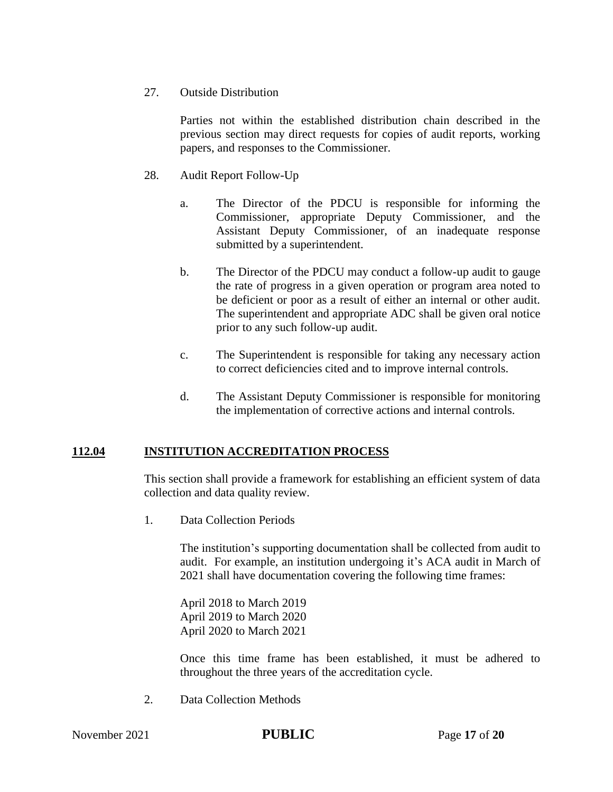### 27. Outside Distribution

Parties not within the established distribution chain described in the previous section may direct requests for copies of audit reports, working papers, and responses to the Commissioner.

### 28. Audit Report Follow-Up

- a. The Director of the PDCU is responsible for informing the Commissioner, appropriate Deputy Commissioner, and the Assistant Deputy Commissioner, of an inadequate response submitted by a superintendent.
- b. The Director of the PDCU may conduct a follow-up audit to gauge the rate of progress in a given operation or program area noted to be deficient or poor as a result of either an internal or other audit. The superintendent and appropriate ADC shall be given oral notice prior to any such follow-up audit.
- c. The Superintendent is responsible for taking any necessary action to correct deficiencies cited and to improve internal controls.
- d. The Assistant Deputy Commissioner is responsible for monitoring the implementation of corrective actions and internal controls.

## **112.04 INSTITUTION ACCREDITATION PROCESS**

This section shall provide a framework for establishing an efficient system of data collection and data quality review.

1. Data Collection Periods

The institution's supporting documentation shall be collected from audit to audit. For example, an institution undergoing it's ACA audit in March of 2021 shall have documentation covering the following time frames:

April 2018 to March 2019 April 2019 to March 2020 April 2020 to March 2021

Once this time frame has been established, it must be adhered to throughout the three years of the accreditation cycle.

2. Data Collection Methods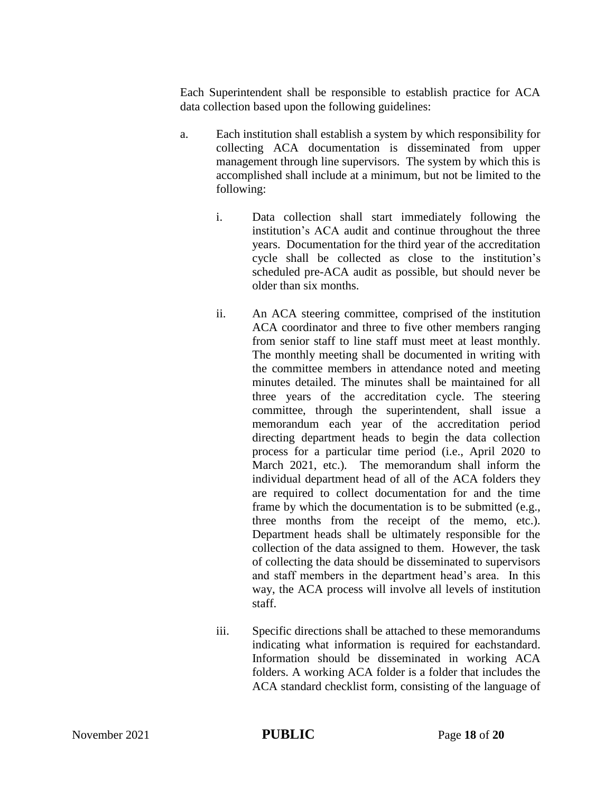Each Superintendent shall be responsible to establish practice for ACA data collection based upon the following guidelines:

- a. Each institution shall establish a system by which responsibility for collecting ACA documentation is disseminated from upper management through line supervisors. The system by which this is accomplished shall include at a minimum, but not be limited to the following:
	- i. Data collection shall start immediately following the institution's ACA audit and continue throughout the three years. Documentation for the third year of the accreditation cycle shall be collected as close to the institution's scheduled pre-ACA audit as possible, but should never be older than six months.
	- ii. An ACA steering committee, comprised of the institution ACA coordinator and three to five other members ranging from senior staff to line staff must meet at least monthly. The monthly meeting shall be documented in writing with the committee members in attendance noted and meeting minutes detailed. The minutes shall be maintained for all three years of the accreditation cycle. The steering committee, through the superintendent, shall issue a memorandum each year of the accreditation period directing department heads to begin the data collection process for a particular time period (i.e., April 2020 to March 2021, etc.). The memorandum shall inform the individual department head of all of the ACA folders they are required to collect documentation for and the time frame by which the documentation is to be submitted (e.g., three months from the receipt of the memo, etc.). Department heads shall be ultimately responsible for the collection of the data assigned to them. However, the task of collecting the data should be disseminated to supervisors and staff members in the department head's area. In this way, the ACA process will involve all levels of institution staff.
	- iii. Specific directions shall be attached to these memorandums indicating what information is required for eachstandard. Information should be disseminated in working ACA folders. A working ACA folder is a folder that includes the ACA standard checklist form, consisting of the language of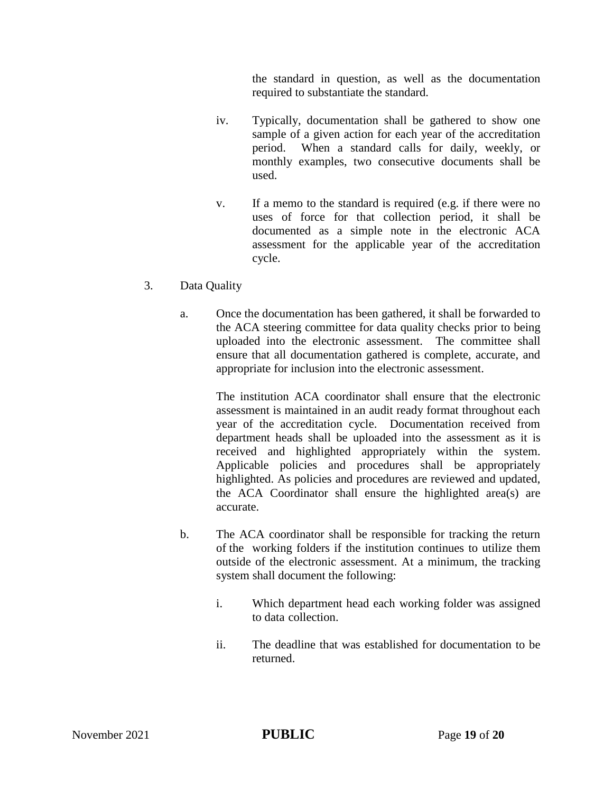the standard in question, as well as the documentation required to substantiate the standard.

- iv. Typically, documentation shall be gathered to show one sample of a given action for each year of the accreditation period. When a standard calls for daily, weekly, or monthly examples, two consecutive documents shall be used.
- v. If a memo to the standard is required (e.g. if there were no uses of force for that collection period, it shall be documented as a simple note in the electronic ACA assessment for the applicable year of the accreditation cycle.
- 3. Data Quality
	- a. Once the documentation has been gathered, it shall be forwarded to the ACA steering committee for data quality checks prior to being uploaded into the electronic assessment. The committee shall ensure that all documentation gathered is complete, accurate, and appropriate for inclusion into the electronic assessment.

The institution ACA coordinator shall ensure that the electronic assessment is maintained in an audit ready format throughout each year of the accreditation cycle. Documentation received from department heads shall be uploaded into the assessment as it is received and highlighted appropriately within the system. Applicable policies and procedures shall be appropriately highlighted. As policies and procedures are reviewed and updated, the ACA Coordinator shall ensure the highlighted area(s) are accurate.

- b. The ACA coordinator shall be responsible for tracking the return of the working folders if the institution continues to utilize them outside of the electronic assessment. At a minimum, the tracking system shall document the following:
	- i. Which department head each working folder was assigned to data collection.
	- ii. The deadline that was established for documentation to be returned.